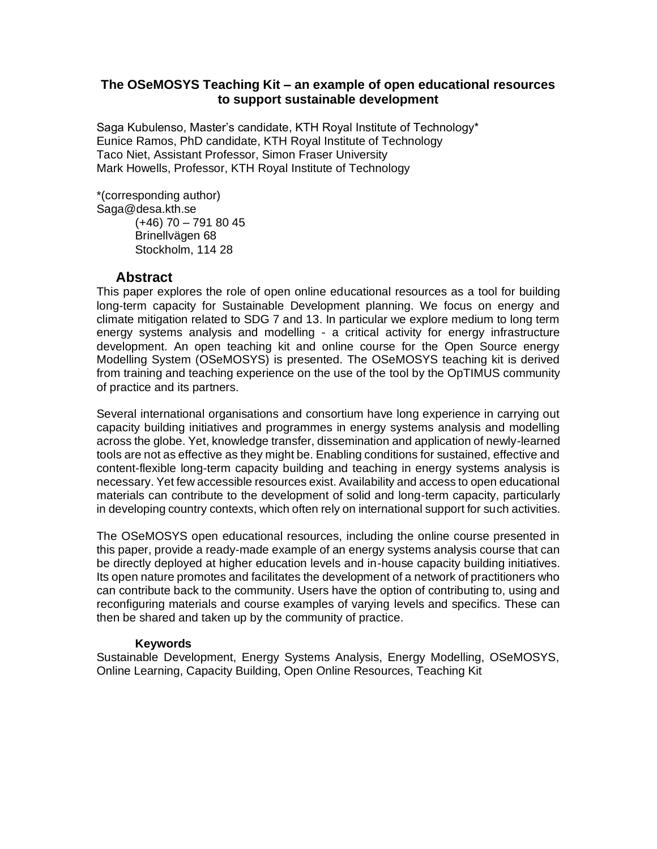#### **The OSeMOSYS Teaching Kit – an example of open educational resources to support sustainable development**

Saga Kubulenso, Master's candidate, KTH Royal Institute of Technology\* Eunice Ramos, PhD candidate, KTH Royal Institute of Technology Taco Niet, Assistant Professor, Simon Fraser University Mark Howells, Professor, KTH Royal Institute of Technology

\*(corresponding author) Saga@desa.kth.se

(+46) 70 – 791 80 45 Brinellvägen 68 Stockholm, 114 28

## **Abstract**

This paper explores the role of open online educational resources as a tool for building long-term capacity for Sustainable Development planning. We focus on energy and climate mitigation related to SDG 7 and 13. In particular we explore medium to long term energy systems analysis and modelling - a critical activity for energy infrastructure development. An open teaching kit and online course for the Open Source energy Modelling System (OSeMOSYS) is presented. The OSeMOSYS teaching kit is derived from training and teaching experience on the use of the tool by the OpTIMUS community of practice and its partners.

Several international organisations and consortium have long experience in carrying out capacity building initiatives and programmes in energy systems analysis and modelling across the globe. Yet, knowledge transfer, dissemination and application of newly-learned tools are not as effective as they might be. Enabling conditions for sustained, effective and content-flexible long-term capacity building and teaching in energy systems analysis is necessary. Yet few accessible resources exist. Availability and access to open educational materials can contribute to the development of solid and long-term capacity, particularly in developing country contexts, which often rely on international support for such activities.

The OSeMOSYS open educational resources, including the online course presented in this paper, provide a ready-made example of an energy systems analysis course that can be directly deployed at higher education levels and in-house capacity building initiatives. Its open nature promotes and facilitates the development of a network of practitioners who can contribute back to the community. Users have the option of contributing to, using and reconfiguring materials and course examples of varying levels and specifics. These can then be shared and taken up by the community of practice.

#### **Keywords**

Sustainable Development, Energy Systems Analysis, Energy Modelling, OSeMOSYS, Online Learning, Capacity Building, Open Online Resources, Teaching Kit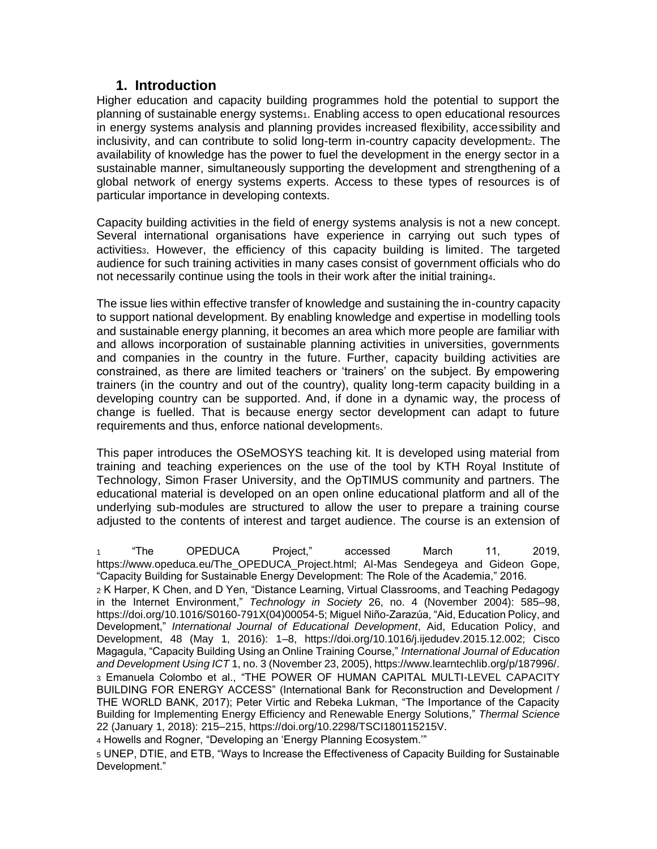## **1. Introduction**

Higher education and capacity building programmes hold the potential to support the planning of sustainable energy systems<sub>1</sub>. Enabling access to open educational resources in energy systems analysis and planning provides increased flexibility, accessibility and inclusivity, and can contribute to solid long-term in-country capacity development<sub>2</sub>. The availability of knowledge has the power to fuel the development in the energy sector in a sustainable manner, simultaneously supporting the development and strengthening of a global network of energy systems experts. Access to these types of resources is of particular importance in developing contexts.

Capacity building activities in the field of energy systems analysis is not a new concept. Several international organisations have experience in carrying out such types of activities<sub>3</sub>. However, the efficiency of this capacity building is limited. The targeted audience for such training activities in many cases consist of government officials who do not necessarily continue using the tools in their work after the initial training4.

The issue lies within effective transfer of knowledge and sustaining the in-country capacity to support national development. By enabling knowledge and expertise in modelling tools and sustainable energy planning, it becomes an area which more people are familiar with and allows incorporation of sustainable planning activities in universities, governments and companies in the country in the future. Further, capacity building activities are constrained, as there are limited teachers or 'trainers' on the subject. By empowering trainers (in the country and out of the country), quality long-term capacity building in a developing country can be supported. And, if done in a dynamic way, the process of change is fuelled. That is because energy sector development can adapt to future requirements and thus, enforce national developments.

This paper introduces the OSeMOSYS teaching kit. It is developed using material from training and teaching experiences on the use of the tool by KTH Royal Institute of Technology, Simon Fraser University, and the OpTIMUS community and partners. The educational material is developed on an open online educational platform and all of the underlying sub-modules are structured to allow the user to prepare a training course adjusted to the contents of interest and target audience. The course is an extension of

<sup>1</sup> ["The OPEDUCA Project," accessed March 11, 2019,](https://www.zotero.org/google-docs/?QIWdu4)  [https://www.opeduca.eu/The\\_OPEDUCA\\_Project.html; Al-Mas Sendegeya and Gideon Gope,](https://www.zotero.org/google-docs/?QIWdu4)  ["Capacity Building for Sustainable Energy Development: The Role of the Academia," 2016.](https://www.zotero.org/google-docs/?QIWdu4)

<sup>2</sup> [K Harper, K Chen, and D Yen, "Distance Learning, Virtual Classrooms, and Teaching Pedagogy](https://www.zotero.org/google-docs/?Z58TCx)  [in the Internet Environment,"](https://www.zotero.org/google-docs/?Z58TCx) *[Technology in Society](https://www.zotero.org/google-docs/?Z58TCx)* [26, no. 4 \(November 2004\): 585–98,](https://www.zotero.org/google-docs/?Z58TCx)  [https://doi.org/10.1016/S0160-791X\(04\)00054-5; Miguel Niño-Zarazúa, "Aid, Education Policy, and](https://www.zotero.org/google-docs/?Z58TCx)  [Development,"](https://www.zotero.org/google-docs/?Z58TCx) *[International Journal of Educational Development](https://www.zotero.org/google-docs/?Z58TCx)*[, Aid, Education Policy, and](https://www.zotero.org/google-docs/?Z58TCx)  [Development, 48 \(May 1, 2016\): 1–8, https://doi.org/10.1016/j.ijedudev.2015.12.002; Cisco](https://www.zotero.org/google-docs/?Z58TCx)  [Magagula, "Capacity Building Using an Online Training Course,"](https://www.zotero.org/google-docs/?Z58TCx) *[International Journal of Education](https://www.zotero.org/google-docs/?Z58TCx)  [and Development Using ICT](https://www.zotero.org/google-docs/?Z58TCx)* [1, no. 3 \(November 23, 2005\), https://www.learntechlib.org/p/187996/.](https://www.zotero.org/google-docs/?Z58TCx) <sup>3</sup> [Emanuela Colombo et al., "THE POWER OF HUMAN CAPITAL MULTI-LEVEL CAPACITY](https://www.zotero.org/google-docs/?41JwG0)  [BUILDING FOR ENERGY ACCESS" \(International Bank for Reconstruction and Development /](https://www.zotero.org/google-docs/?41JwG0)  [THE WORLD BANK, 2017\); Peter Virtic and Rebeka Lukman, "The Importance of the Capacity](https://www.zotero.org/google-docs/?41JwG0)  [Building for Implementing Energy Efficiency and Renewable Energy Solutions,"](https://www.zotero.org/google-docs/?41JwG0) *[Thermal Science](https://www.zotero.org/google-docs/?41JwG0)* [22 \(January 1, 2018\): 215–215, https://doi.org/10.2298/TSCI180115215V.](https://www.zotero.org/google-docs/?41JwG0)

<sup>4</sup> Howells and Rogner, "Developing an 'Energy Planning Ecosystem.'"

<sup>5</sup> UNEP, DTIE, and ETB, "Ways to Increase the Effectiveness of Capacity Building for Sustainable Development."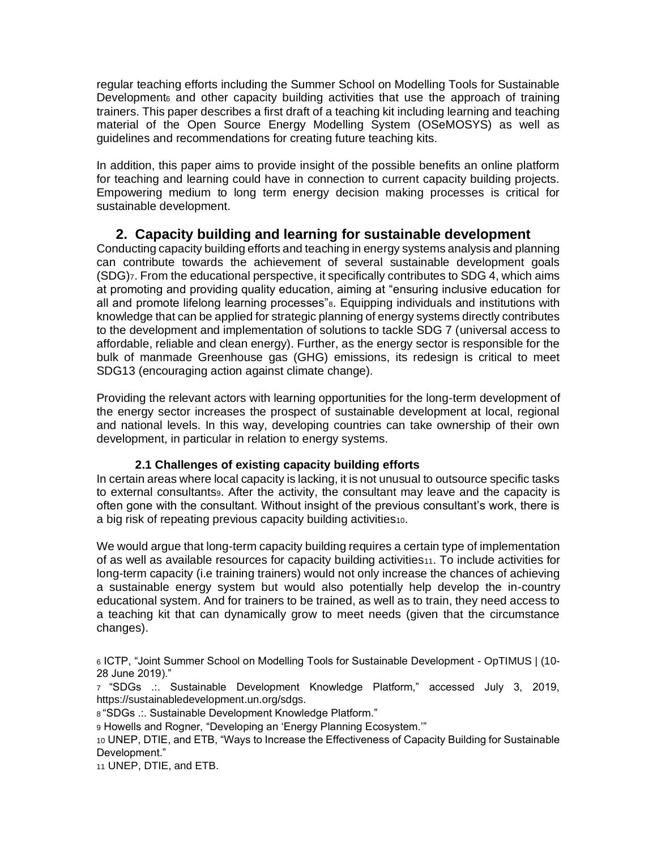regular teaching efforts including the Summer School on Modelling Tools for Sustainable Developments and other capacity building activities that use the approach of training trainers. This paper describes a first draft of a teaching kit including learning and teaching material of the Open Source Energy Modelling System (OSeMOSYS) as well as guidelines and recommendations for creating future teaching kits.

In addition, this paper aims to provide insight of the possible benefits an online platform for teaching and learning could have in connection to current capacity building projects. Empowering medium to long term energy decision making processes is critical for sustainable development.

# **2. Capacity building and learning for sustainable development**

Conducting capacity building efforts and teaching in energy systems analysis and planning can contribute towards the achievement of several sustainable development goals (SDG)7. From the educational perspective, it specifically contributes to SDG 4, which aims at promoting and providing quality education, aiming at "ensuring inclusive education for all and promote lifelong learning processes"8. Equipping individuals and institutions with knowledge that can be applied for strategic planning of energy systems directly contributes to the development and implementation of solutions to tackle SDG 7 (universal access to affordable, reliable and clean energy). Further, as the energy sector is responsible for the bulk of manmade Greenhouse gas (GHG) emissions, its redesign is critical to meet SDG13 (encouraging action against climate change).

Providing the relevant actors with learning opportunities for the long-term development of the energy sector increases the prospect of sustainable development at local, regional and national levels. In this way, developing countries can take ownership of their own development, in particular in relation to energy systems.

## **2.1 Challenges of existing capacity building efforts**

In certain areas where local capacity is lacking, it is not unusual to outsource specific tasks to external consultants. After the activity, the consultant may leave and the capacity is often gone with the consultant. Without insight of the previous consultant's work, there is a big risk of repeating previous capacity building activities10.

We would argue that long-term capacity building requires a certain type of implementation of as well as available resources for capacity building activities11. To include activities for long-term capacity (i.e training trainers) would not only increase the chances of achieving a sustainable energy system but would also potentially help develop the in-country educational system. And for trainers to be trained, as well as to train, they need access to a teaching kit that can dynamically grow to meet needs (given that the circumstance changes).

<sup>6</sup> ICTP, "Joint Summer School on Modelling Tools for Sustainable Development - OpTIMUS | (10- 28 June 2019)."

<sup>7</sup> ["SDGs .:. Sustainable Development Knowledge Platform," accessed July 3, 2019,](https://www.zotero.org/google-docs/?JZsJXD)  [https://sustainabledevelopment.un.org/sdgs.](https://www.zotero.org/google-docs/?JZsJXD)

<sup>8</sup> ["SDGs .:. Sustainable Development Knowledge Platform."](https://www.zotero.org/google-docs/?we0z8k)

<sup>9</sup> Howells and Rogner, "Developing an 'Energy Planning Ecosystem.'"

<sup>10</sup> UNEP, DTIE, and ETB, "Ways to Increase the Effectiveness of Capacity Building for Sustainable Development."

<sup>11</sup> UNEP, DTIE, and ETB.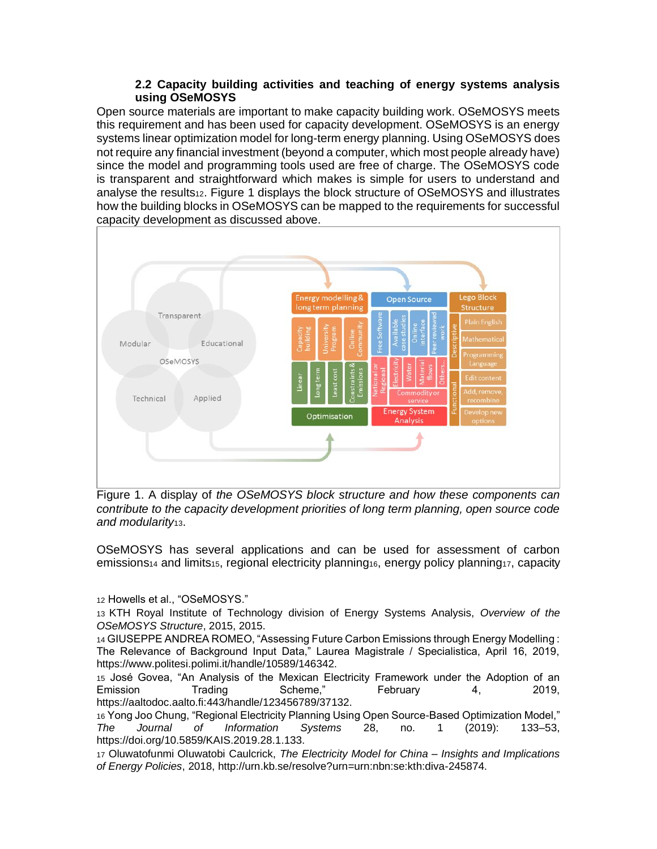#### **2.2 Capacity building activities and teaching of energy systems analysis using OSeMOSYS**

Open source materials are important to make capacity building work. OSeMOSYS meets this requirement and has been used for capacity development. OSeMOSYS is an energy systems linear optimization model for long-term energy planning. Using OSeMOSYS does not require any financial investment (beyond a computer, which most people already have) since the model and programming tools used are free of charge. The OSeMOSYS code is transparent and straightforward which makes is simple for users to understand and analyse the results12. Figure 1 displays the block structure of OSeMOSYS and illustrates how the building blocks in OSeMOSYS can be mapped to the requirements for successful capacity development as discussed above.



Figure 1. A display of *the OSeMOSYS block structure and how these components can contribute to the capacity development priorities of long term planning, open source code and modularity*13.

OSeMOSYS has several applications and can be used for assessment of carbon emissions<sup>14</sup> and limits15, regional electricity planning16, energy policy planning17, capacity

<sup>12</sup> Howells et al., "OSeMOSYS."

<sup>13</sup> [KTH Royal Institute of Technology division of Energy Systems Analysis,](https://www.zotero.org/google-docs/?9ZrO3J) *[Overview of the](https://www.zotero.org/google-docs/?9ZrO3J)  [OSeMOSYS Structure](https://www.zotero.org/google-docs/?9ZrO3J)*[, 2015, 2015.](https://www.zotero.org/google-docs/?9ZrO3J)

<sup>14</sup> [GIUSEPPE ANDREA ROMEO, "Assessing Future Carbon Emissions through Energy Modelling :](https://www.zotero.org/google-docs/?94uRdp)  [The Relevance of Background Input Data," Laurea Magistrale / Specialistica, April 16, 2019,](https://www.zotero.org/google-docs/?94uRdp)  [https://www.politesi.polimi.it/handle/10589/146342.](https://www.zotero.org/google-docs/?94uRdp)

<sup>15</sup> [José Govea, "An Analysis of the Mexican Electricity Framework under the Adoption of an](https://www.zotero.org/google-docs/?ZvPZIG)  [Emission Trading Scheme," February 4, 2019,](https://www.zotero.org/google-docs/?ZvPZIG)  [https://aaltodoc.aalto.fi:443/handle/123456789/37132.](https://www.zotero.org/google-docs/?ZvPZIG)

<sup>16</sup> [Yong Joo Chung, "Regional Electricity Planning Using Open Source-Based Optimization Model,"](https://www.zotero.org/google-docs/?Wlklv8)  *[The Journal of Information Systems](https://www.zotero.org/google-docs/?Wlklv8)* [28, no. 1 \(2019\): 133–53,](https://www.zotero.org/google-docs/?Wlklv8)  [https://doi.org/10.5859/KAIS.2019.28.1.133.](https://www.zotero.org/google-docs/?Wlklv8)

<sup>17</sup> [Oluwatofunmi Oluwatobi Caulcrick,](https://www.zotero.org/google-docs/?TA0y1d) *[The Electricity Model for China –](https://www.zotero.org/google-docs/?TA0y1d) Insights and Implications [of Energy Policies](https://www.zotero.org/google-docs/?TA0y1d)*[, 2018, http://urn.kb.se/resolve?urn=urn:nbn:se:kth:diva-245874.](https://www.zotero.org/google-docs/?TA0y1d)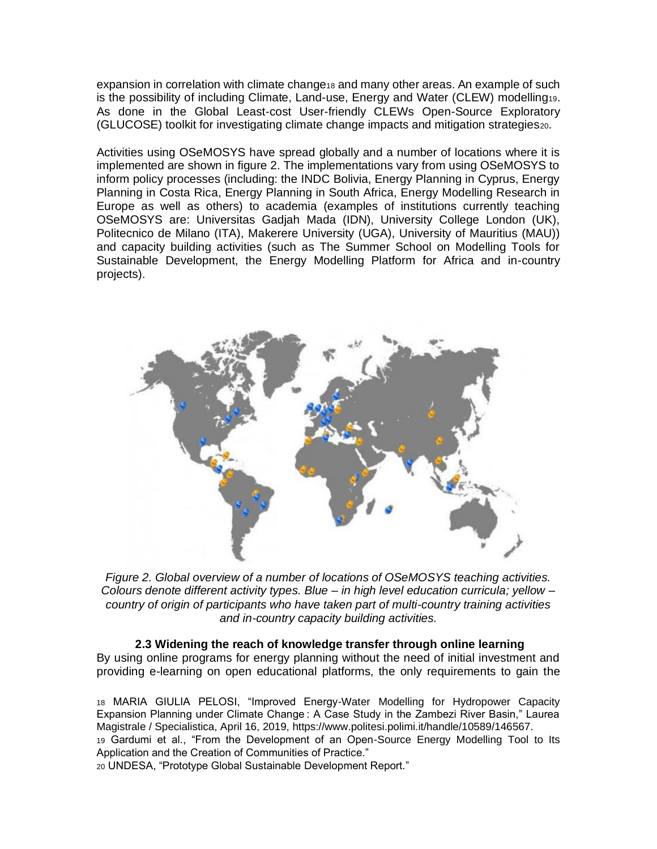expansion in correlation with climate change18 and many other areas. An example of such is the possibility of including Climate, Land-use, Energy and Water (CLEW) modelling19. As done in the Global Least-cost User-friendly CLEWs Open-Source Exploratory (GLUCOSE) toolkit for investigating climate change impacts and mitigation strategies20.

Activities using OSeMOSYS have spread globally and a number of locations where it is implemented are shown in figure 2. The implementations vary from using OSeMOSYS to inform policy processes (including: the INDC Bolivia, Energy Planning in Cyprus, Energy Planning in Costa Rica, Energy Planning in South Africa, Energy Modelling Research in Europe as well as others) to academia (examples of institutions currently teaching OSeMOSYS are: Universitas Gadjah Mada (IDN), University College London (UK), Politecnico de Milano (ITA), Makerere University (UGA), University of Mauritius (MAU)) and capacity building activities (such as The Summer School on Modelling Tools for Sustainable Development, the Energy Modelling Platform for Africa and in-country projects).



*Figure 2. Global overview of a number of locations of OSeMOSYS teaching activities. Colours denote different activity types. Blue – in high level education curricula; yellow – country of origin of participants who have taken part of multi-country training activities and in-country capacity building activities.*

#### **2.3 Widening the reach of knowledge transfer through online learning**

By using online programs for energy planning without the need of initial investment and providing e-learning on open educational platforms, the only requirements to gain the

<sup>18</sup> [MARIA GIULIA PELOSI, "Improved Energy-Water Modelling for Hydropower Capacity](https://www.zotero.org/google-docs/?72C9qX)  [Expansion Planning under Climate Change : A Case Study in the Zambezi River Basin," Laurea](https://www.zotero.org/google-docs/?72C9qX)  [Magistrale / Specialistica, April 16, 2019, https://www.politesi.polimi.it/handle/10589/146567.](https://www.zotero.org/google-docs/?72C9qX) <sup>19</sup> Gardumi et al., "From the Development of an Open-Source Energy Modelling Tool to Its Application and the Creation of Communities of Practice."

<sup>20</sup> UNDESA, "Prototype Global Sustainable Development Report."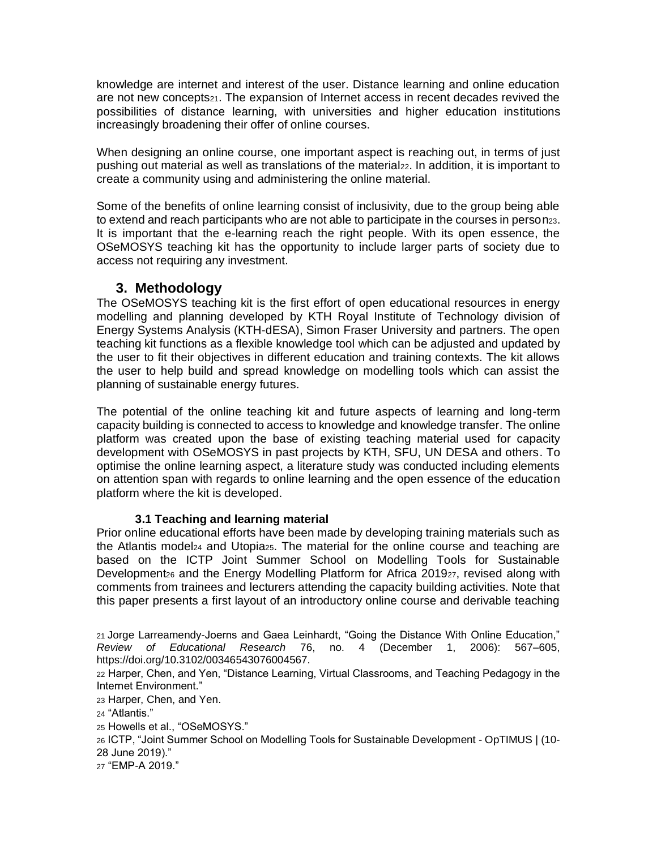knowledge are internet and interest of the user. Distance learning and online education are not new concepts21. The expansion of Internet access in recent decades revived the possibilities of distance learning, with universities and higher education institutions increasingly broadening their offer of online courses.

When designing an online course, one important aspect is reaching out, in terms of just pushing out material as well as translations of the material<sub>22</sub>. In addition, it is important to create a community using and administering the online material.

Some of the benefits of online learning consist of inclusivity, due to the group being able to extend and reach participants who are not able to participate in the courses in person23. It is important that the e-learning reach the right people. With its open essence, the OSeMOSYS teaching kit has the opportunity to include larger parts of society due to access not requiring any investment.

# **3. Methodology**

The OSeMOSYS teaching kit is the first effort of open educational resources in energy modelling and planning developed by KTH Royal Institute of Technology division of Energy Systems Analysis (KTH-dESA), Simon Fraser University and partners. The open teaching kit functions as a flexible knowledge tool which can be adjusted and updated by the user to fit their objectives in different education and training contexts. The kit allows the user to help build and spread knowledge on modelling tools which can assist the planning of sustainable energy futures.

The potential of the online teaching kit and future aspects of learning and long-term capacity building is connected to access to knowledge and knowledge transfer. The online platform was created upon the base of existing teaching material used for capacity development with OSeMOSYS in past projects by KTH, SFU, UN DESA and others. To optimise the online learning aspect, a literature study was conducted including elements on attention span with regards to online learning and the open essence of the education platform where the kit is developed.

#### **3.1 Teaching and learning material**

Prior online educational efforts have been made by developing training materials such as the Atlantis model<sup>24</sup> and Utopia25. The material for the online course and teaching are based on the ICTP Joint Summer School on Modelling Tools for Sustainable Development<sub>26</sub> and the Energy Modelling Platform for Africa 2019<sub>27</sub>, revised along with comments from trainees and lecturers attending the capacity building activities. Note that this paper presents a first layout of an introductory online course and derivable teaching

<sup>23</sup> Harper, Chen, and Yen.

<sup>27</sup> "EMP-A 2019."

<sup>21</sup> [Jorge Larreamendy-Joerns and Gaea Leinhardt, "Going the Distance With Online Education,"](https://www.zotero.org/google-docs/?IiZz3I)  *[Review of Educational Research](https://www.zotero.org/google-docs/?IiZz3I)* [76, no. 4 \(December 1, 2006\): 567–605,](https://www.zotero.org/google-docs/?IiZz3I)  [https://doi.org/10.3102/00346543076004567.](https://www.zotero.org/google-docs/?IiZz3I)

<sup>22</sup> Harper, Chen, and Yen, "Distance Learning, Virtual Classrooms, and Teaching Pedagogy in the Internet Environment."

<sup>24</sup> "Atlantis."

<sup>25</sup> Howells et al., "OSeMOSYS."

<sup>26</sup> ICTP, "Joint Summer School on Modelling Tools for Sustainable Development - OpTIMUS | (10- 28 June 2019)."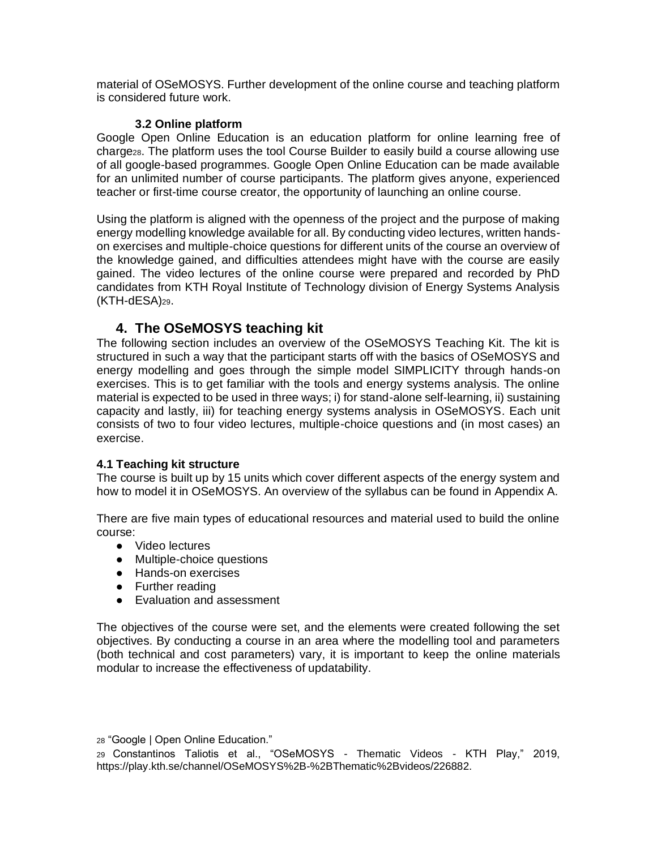material of OSeMOSYS. Further development of the online course and teaching platform is considered future work.

#### **3.2 Online platform**

Google Open Online Education is an education platform for online learning free of charge28. The platform uses the tool Course Builder to easily build a course allowing use of all google-based programmes. Google Open Online Education can be made available for an unlimited number of course participants. The platform gives anyone, experienced teacher or first-time course creator, the opportunity of launching an online course.

Using the platform is aligned with the openness of the project and the purpose of making energy modelling knowledge available for all. By conducting video lectures, written handson exercises and multiple-choice questions for different units of the course an overview of the knowledge gained, and difficulties attendees might have with the course are easily gained. The video lectures of the online course were prepared and recorded by PhD candidates from KTH Royal Institute of Technology division of Energy Systems Analysis (KTH-dESA)29.

# **4. The OSeMOSYS teaching kit**

The following section includes an overview of the OSeMOSYS Teaching Kit. The kit is structured in such a way that the participant starts off with the basics of OSeMOSYS and energy modelling and goes through the simple model SIMPLICITY through hands-on exercises. This is to get familiar with the tools and energy systems analysis. The online material is expected to be used in three ways; i) for stand-alone self-learning, ii) sustaining capacity and lastly, iii) for teaching energy systems analysis in OSeMOSYS. Each unit consists of two to four video lectures, multiple-choice questions and (in most cases) an exercise.

#### **4.1 Teaching kit structure**

The course is built up by 15 units which cover different aspects of the energy system and how to model it in OSeMOSYS. An overview of the syllabus can be found in Appendix A.

There are five main types of educational resources and material used to build the online course:

- Video lectures
- Multiple-choice questions
- Hands-on exercises
- Further reading
- Evaluation and assessment

The objectives of the course were set, and the elements were created following the set objectives. By conducting a course in an area where the modelling tool and parameters (both technical and cost parameters) vary, it is important to keep the online materials modular to increase the effectiveness of updatability.

<sup>28</sup> "Google | Open Online Education."

<sup>29</sup> [Constantinos Taliotis et al., "OSeMOSYS -](https://www.zotero.org/google-docs/?kzPsp0) Thematic Videos - KTH Play," 2019, [https://play.kth.se/channel/OSeMOSYS%2B-%2BThematic%2Bvideos/226882.](https://www.zotero.org/google-docs/?kzPsp0)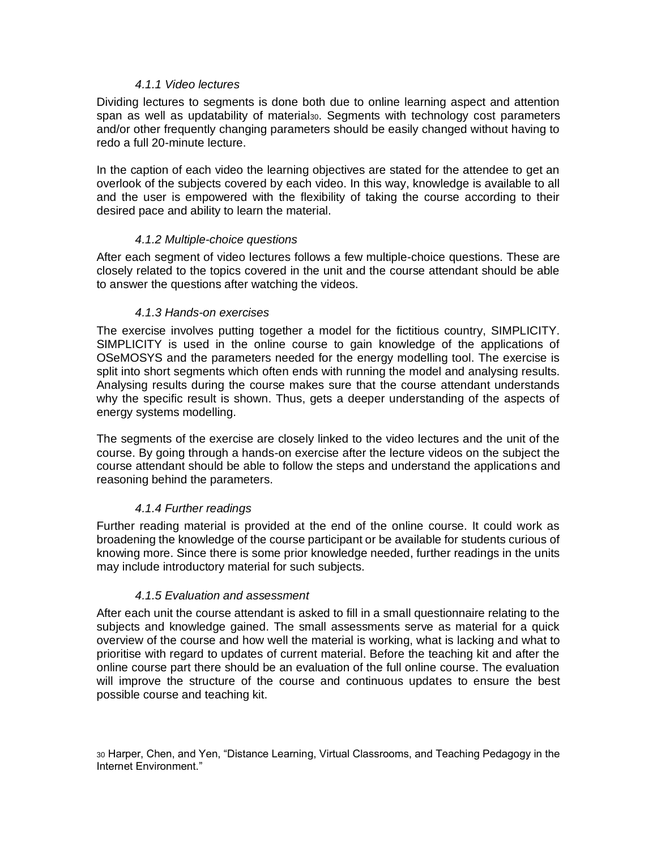#### *4.1.1 Video lectures*

Dividing lectures to segments is done both due to online learning aspect and attention span as well as updatability of material<sub>30</sub>. Segments with technology cost parameters and/or other frequently changing parameters should be easily changed without having to redo a full 20-minute lecture.

In the caption of each video the learning objectives are stated for the attendee to get an overlook of the subjects covered by each video. In this way, knowledge is available to all and the user is empowered with the flexibility of taking the course according to their desired pace and ability to learn the material.

#### *4.1.2 Multiple-choice questions*

After each segment of video lectures follows a few multiple-choice questions. These are closely related to the topics covered in the unit and the course attendant should be able to answer the questions after watching the videos.

#### *4.1.3 Hands-on exercises*

The exercise involves putting together a model for the fictitious country, SIMPLICITY. SIMPLICITY is used in the online course to gain knowledge of the applications of OSeMOSYS and the parameters needed for the energy modelling tool. The exercise is split into short segments which often ends with running the model and analysing results. Analysing results during the course makes sure that the course attendant understands why the specific result is shown. Thus, gets a deeper understanding of the aspects of energy systems modelling.

The segments of the exercise are closely linked to the video lectures and the unit of the course. By going through a hands-on exercise after the lecture videos on the subject the course attendant should be able to follow the steps and understand the applications and reasoning behind the parameters.

#### *4.1.4 Further readings*

Further reading material is provided at the end of the online course. It could work as broadening the knowledge of the course participant or be available for students curious of knowing more. Since there is some prior knowledge needed, further readings in the units may include introductory material for such subjects.

#### *4.1.5 Evaluation and assessment*

After each unit the course attendant is asked to fill in a small questionnaire relating to the subjects and knowledge gained. The small assessments serve as material for a quick overview of the course and how well the material is working, what is lacking and what to prioritise with regard to updates of current material. Before the teaching kit and after the online course part there should be an evaluation of the full online course. The evaluation will improve the structure of the course and continuous updates to ensure the best possible course and teaching kit.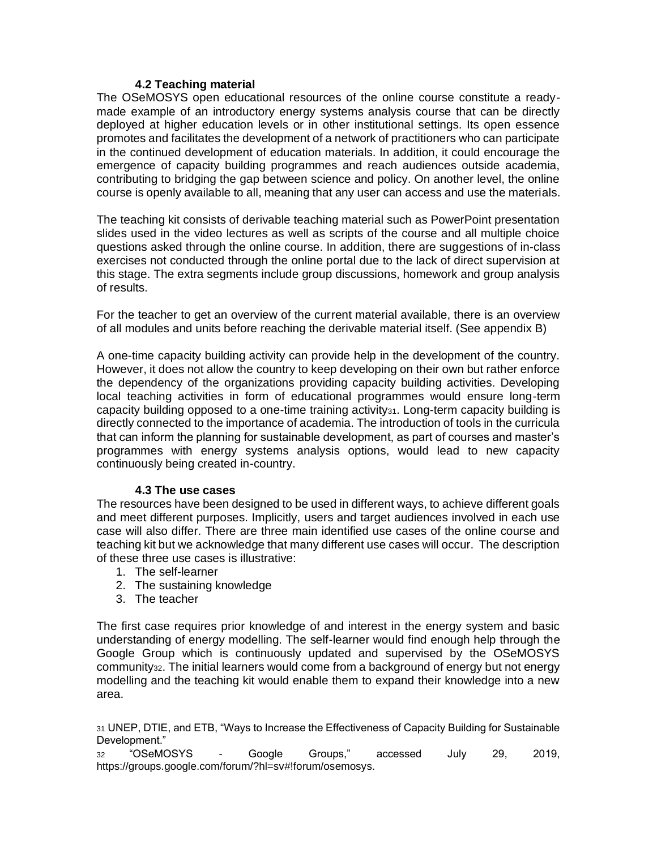#### **4.2 Teaching material**

The OSeMOSYS open educational resources of the online course constitute a readymade example of an introductory energy systems analysis course that can be directly deployed at higher education levels or in other institutional settings. Its open essence promotes and facilitates the development of a network of practitioners who can participate in the continued development of education materials. In addition, it could encourage the emergence of capacity building programmes and reach audiences outside academia, contributing to bridging the gap between science and policy. On another level, the online course is openly available to all, meaning that any user can access and use the materials.

The teaching kit consists of derivable teaching material such as PowerPoint presentation slides used in the video lectures as well as scripts of the course and all multiple choice questions asked through the online course. In addition, there are suggestions of in-class exercises not conducted through the online portal due to the lack of direct supervision at this stage. The extra segments include group discussions, homework and group analysis of results.

For the teacher to get an overview of the current material available, there is an overview of all modules and units before reaching the derivable material itself. (See appendix B)

A one-time capacity building activity can provide help in the development of the country. However, it does not allow the country to keep developing on their own but rather enforce the dependency of the organizations providing capacity building activities. Developing local teaching activities in form of educational programmes would ensure long-term capacity building opposed to a one-time training activity31. Long-term capacity building is directly connected to the importance of academia. The introduction of tools in the curricula that can inform the planning for sustainable development, as part of courses and master's programmes with energy systems analysis options, would lead to new capacity continuously being created in-country.

#### **4.3 The use cases**

The resources have been designed to be used in different ways, to achieve different goals and meet different purposes. Implicitly, users and target audiences involved in each use case will also differ. There are three main identified use cases of the online course and teaching kit but we acknowledge that many different use cases will occur. The description of these three use cases is illustrative:

- 1. The self-learner
- 2. The sustaining knowledge
- 3. The teacher

The first case requires prior knowledge of and interest in the energy system and basic understanding of energy modelling. The self-learner would find enough help through the Google Group which is continuously updated and supervised by the OSeMOSYS community<sub>32</sub>. The initial learners would come from a background of energy but not energy modelling and the teaching kit would enable them to expand their knowledge into a new area.

<sup>31</sup> UNEP, DTIE, and ETB, "Ways to Increase the Effectiveness of Capacity Building for Sustainable Development."

<sup>32</sup> "OSeMOSYS - [Google Groups," accessed July 29, 2019,](https://www.zotero.org/google-docs/?btVmOP)  [https://groups.google.com/forum/?hl=sv#!forum/osemosys.](https://www.zotero.org/google-docs/?btVmOP)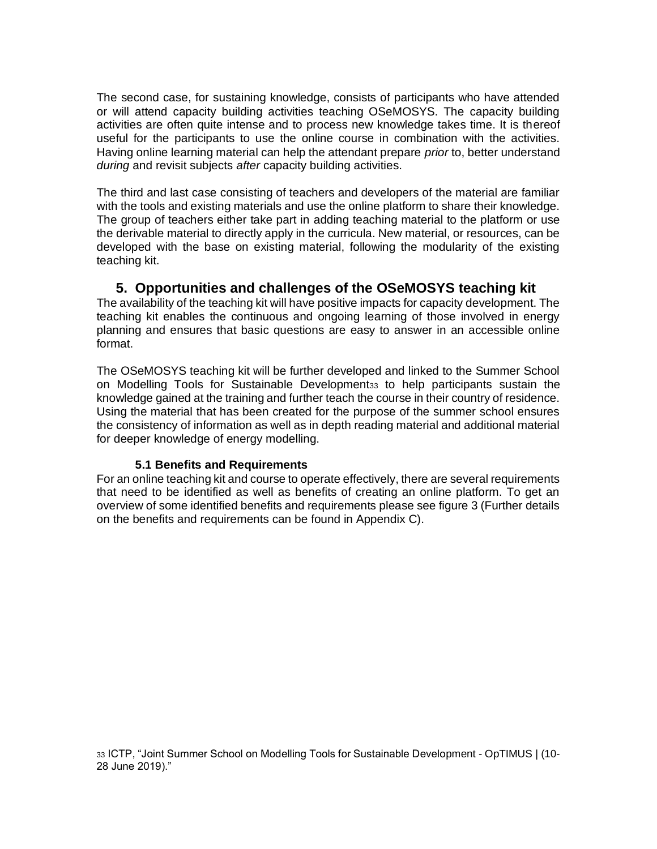The second case, for sustaining knowledge, consists of participants who have attended or will attend capacity building activities teaching OSeMOSYS. The capacity building activities are often quite intense and to process new knowledge takes time. It is thereof useful for the participants to use the online course in combination with the activities. Having online learning material can help the attendant prepare *prior* to, better understand *during* and revisit subjects *after* capacity building activities.

The third and last case consisting of teachers and developers of the material are familiar with the tools and existing materials and use the online platform to share their knowledge. The group of teachers either take part in adding teaching material to the platform or use the derivable material to directly apply in the curricula. New material, or resources, can be developed with the base on existing material, following the modularity of the existing teaching kit.

# **5. Opportunities and challenges of the OSeMOSYS teaching kit**

The availability of the teaching kit will have positive impacts for capacity development. The teaching kit enables the continuous and ongoing learning of those involved in energy planning and ensures that basic questions are easy to answer in an accessible online format.

The OSeMOSYS teaching kit will be further developed and linked to the Summer School on Modelling Tools for Sustainable Development<sub>33</sub> to help participants sustain the knowledge gained at the training and further teach the course in their country of residence. Using the material that has been created for the purpose of the summer school ensures the consistency of information as well as in depth reading material and additional material for deeper knowledge of energy modelling.

#### **5.1 Benefits and Requirements**

For an online teaching kit and course to operate effectively, there are several requirements that need to be identified as well as benefits of creating an online platform. To get an overview of some identified benefits and requirements please see figure 3 (Further details on the benefits and requirements can be found in Appendix C).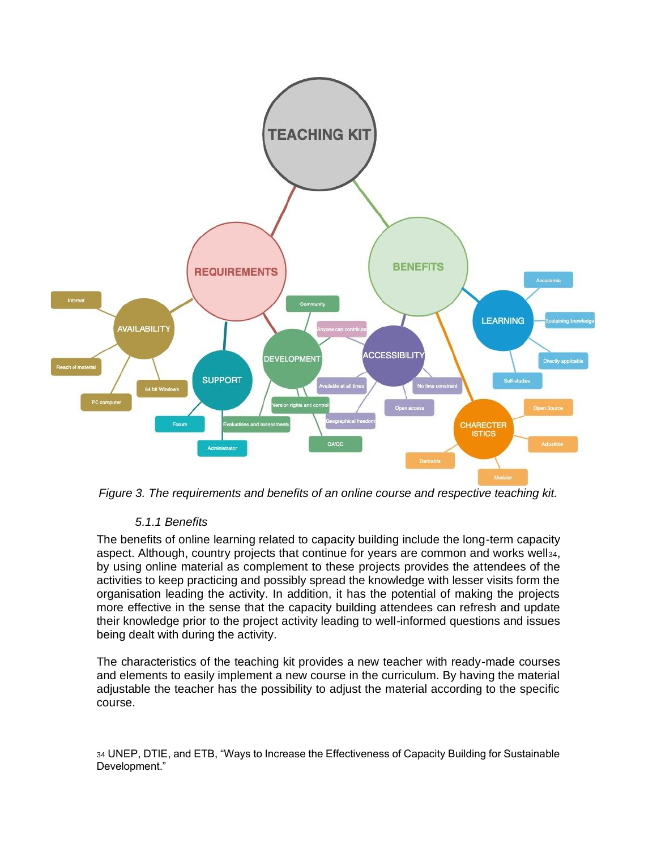

*Figure 3. The requirements and benefits of an online course and respective teaching kit.*

#### *5.1.1 Benefits*

The benefits of online learning related to capacity building include the long-term capacity aspect. Although, country projects that continue for years are common and works well34, by using online material as complement to these projects provides the attendees of the activities to keep practicing and possibly spread the knowledge with lesser visits form the organisation leading the activity. In addition, it has the potential of making the projects more effective in the sense that the capacity building attendees can refresh and update their knowledge prior to the project activity leading to well-informed questions and issues being dealt with during the activity.

The characteristics of the teaching kit provides a new teacher with ready-made courses and elements to easily implement a new course in the curriculum. By having the material adjustable the teacher has the possibility to adjust the material according to the specific course.

<sup>34</sup> UNEP, DTIE, and ETB, "Ways to Increase the Effectiveness of Capacity Building for Sustainable Development."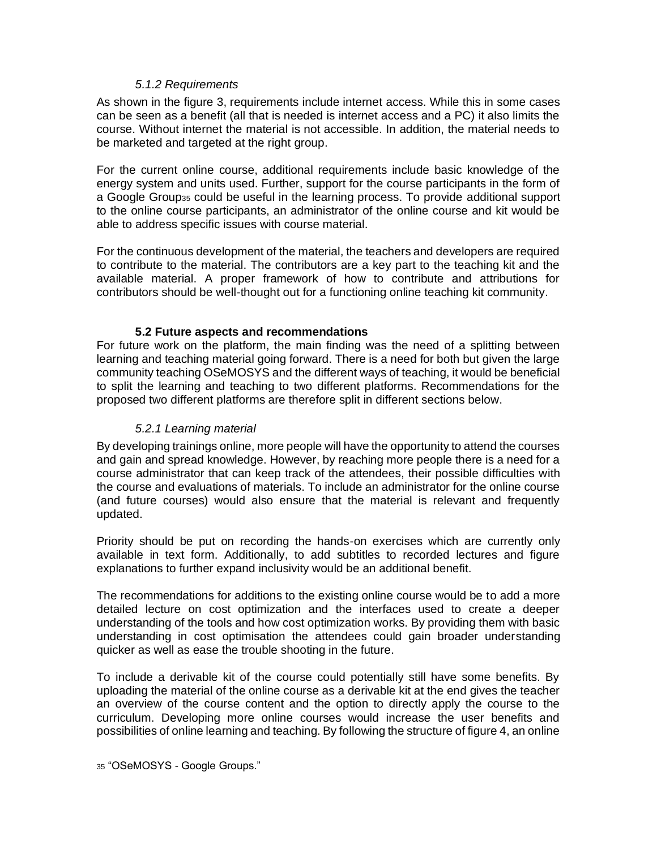#### *5.1.2 Requirements*

As shown in the figure 3, requirements include internet access. While this in some cases can be seen as a benefit (all that is needed is internet access and a PC) it also limits the course. Without internet the material is not accessible. In addition, the material needs to be marketed and targeted at the right group.

For the current online course, additional requirements include basic knowledge of the energy system and units used. Further, support for the course participants in the form of a Google Group<sup>35</sup> could be useful in the learning process. To provide additional support to the online course participants, an administrator of the online course and kit would be able to address specific issues with course material.

For the continuous development of the material, the teachers and developers are required to contribute to the material. The contributors are a key part to the teaching kit and the available material. A proper framework of how to contribute and attributions for contributors should be well-thought out for a functioning online teaching kit community.

#### **5.2 Future aspects and recommendations**

For future work on the platform, the main finding was the need of a splitting between learning and teaching material going forward. There is a need for both but given the large community teaching OSeMOSYS and the different ways of teaching, it would be beneficial to split the learning and teaching to two different platforms. Recommendations for the proposed two different platforms are therefore split in different sections below.

#### *5.2.1 Learning material*

By developing trainings online, more people will have the opportunity to attend the courses and gain and spread knowledge. However, by reaching more people there is a need for a course administrator that can keep track of the attendees, their possible difficulties with the course and evaluations of materials. To include an administrator for the online course (and future courses) would also ensure that the material is relevant and frequently updated.

Priority should be put on recording the hands-on exercises which are currently only available in text form. Additionally, to add subtitles to recorded lectures and figure explanations to further expand inclusivity would be an additional benefit.

The recommendations for additions to the existing online course would be to add a more detailed lecture on cost optimization and the interfaces used to create a deeper understanding of the tools and how cost optimization works. By providing them with basic understanding in cost optimisation the attendees could gain broader understanding quicker as well as ease the trouble shooting in the future.

To include a derivable kit of the course could potentially still have some benefits. By uploading the material of the online course as a derivable kit at the end gives the teacher an overview of the course content and the option to directly apply the course to the curriculum. Developing more online courses would increase the user benefits and possibilities of online learning and teaching. By following the structure of figure 4, an online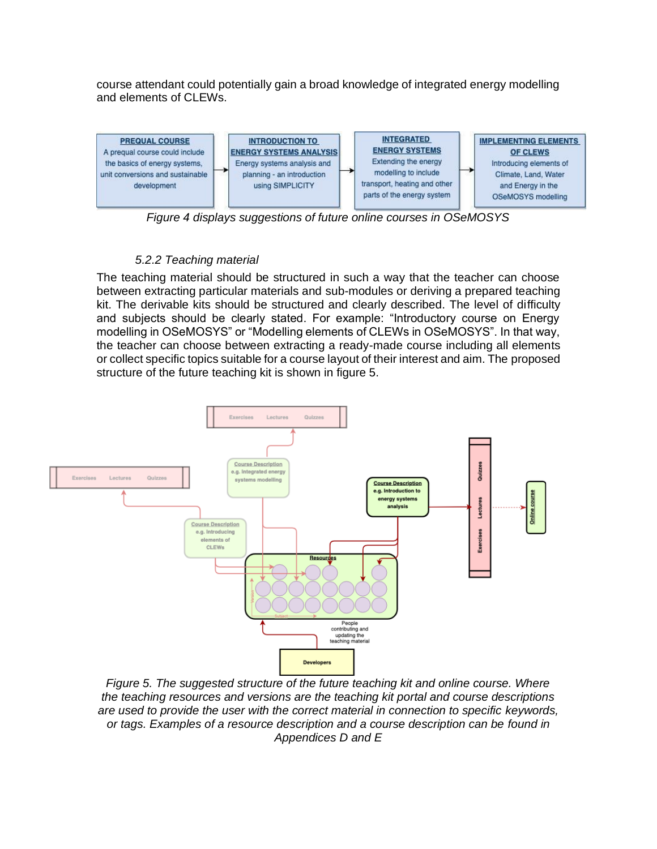course attendant could potentially gain a broad knowledge of integrated energy modelling and elements of CLEWs.



*Figure 4 displays suggestions of future online courses in OSeMOSYS*

# *5.2.2 Teaching material*

The teaching material should be structured in such a way that the teacher can choose between extracting particular materials and sub-modules or deriving a prepared teaching kit. The derivable kits should be structured and clearly described. The level of difficulty and subjects should be clearly stated. For example: "Introductory course on Energy modelling in OSeMOSYS" or "Modelling elements of CLEWs in OSeMOSYS". In that way, the teacher can choose between extracting a ready-made course including all elements or collect specific topics suitable for a course layout of their interest and aim. The proposed structure of the future teaching kit is shown in figure 5.



*Figure 5. The suggested structure of the future teaching kit and online course. Where the teaching resources and versions are the teaching kit portal and course descriptions are used to provide the user with the correct material in connection to specific keywords, or tags. Examples of a resource description and a course description can be found in Appendices D and E*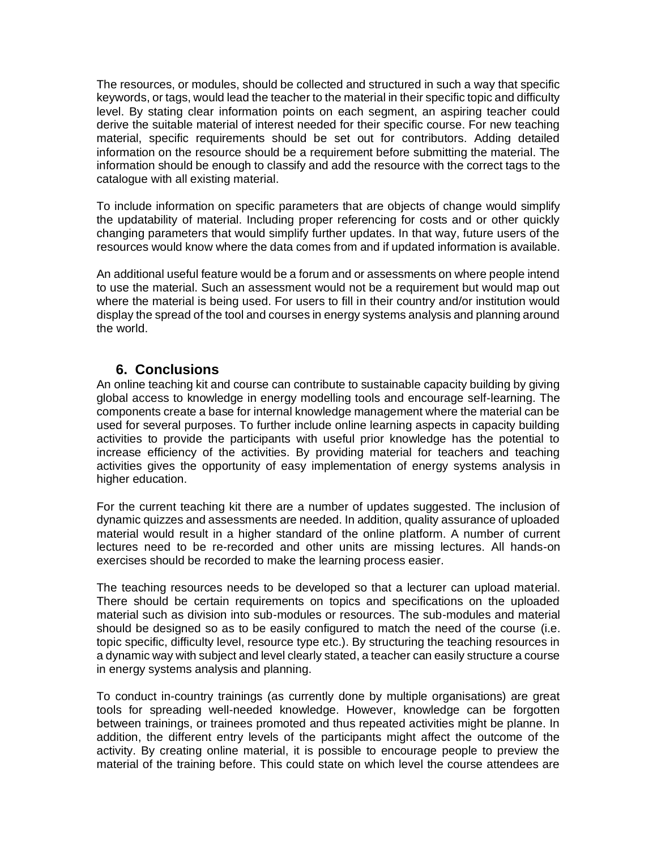The resources, or modules, should be collected and structured in such a way that specific keywords, or tags, would lead the teacher to the material in their specific topic and difficulty level. By stating clear information points on each segment, an aspiring teacher could derive the suitable material of interest needed for their specific course. For new teaching material, specific requirements should be set out for contributors. Adding detailed information on the resource should be a requirement before submitting the material. The information should be enough to classify and add the resource with the correct tags to the catalogue with all existing material.

To include information on specific parameters that are objects of change would simplify the updatability of material. Including proper referencing for costs and or other quickly changing parameters that would simplify further updates. In that way, future users of the resources would know where the data comes from and if updated information is available.

An additional useful feature would be a forum and or assessments on where people intend to use the material. Such an assessment would not be a requirement but would map out where the material is being used. For users to fill in their country and/or institution would display the spread of the tool and courses in energy systems analysis and planning around the world.

# **6. Conclusions**

An online teaching kit and course can contribute to sustainable capacity building by giving global access to knowledge in energy modelling tools and encourage self-learning. The components create a base for internal knowledge management where the material can be used for several purposes. To further include online learning aspects in capacity building activities to provide the participants with useful prior knowledge has the potential to increase efficiency of the activities. By providing material for teachers and teaching activities gives the opportunity of easy implementation of energy systems analysis in higher education.

For the current teaching kit there are a number of updates suggested. The inclusion of dynamic quizzes and assessments are needed. In addition, quality assurance of uploaded material would result in a higher standard of the online platform. A number of current lectures need to be re-recorded and other units are missing lectures. All hands-on exercises should be recorded to make the learning process easier.

The teaching resources needs to be developed so that a lecturer can upload material. There should be certain requirements on topics and specifications on the uploaded material such as division into sub-modules or resources. The sub-modules and material should be designed so as to be easily configured to match the need of the course (i.e. topic specific, difficulty level, resource type etc.). By structuring the teaching resources in a dynamic way with subject and level clearly stated, a teacher can easily structure a course in energy systems analysis and planning.

To conduct in-country trainings (as currently done by multiple organisations) are great tools for spreading well-needed knowledge. However, knowledge can be forgotten between trainings, or trainees promoted and thus repeated activities might be planne. In addition, the different entry levels of the participants might affect the outcome of the activity. By creating online material, it is possible to encourage people to preview the material of the training before. This could state on which level the course attendees are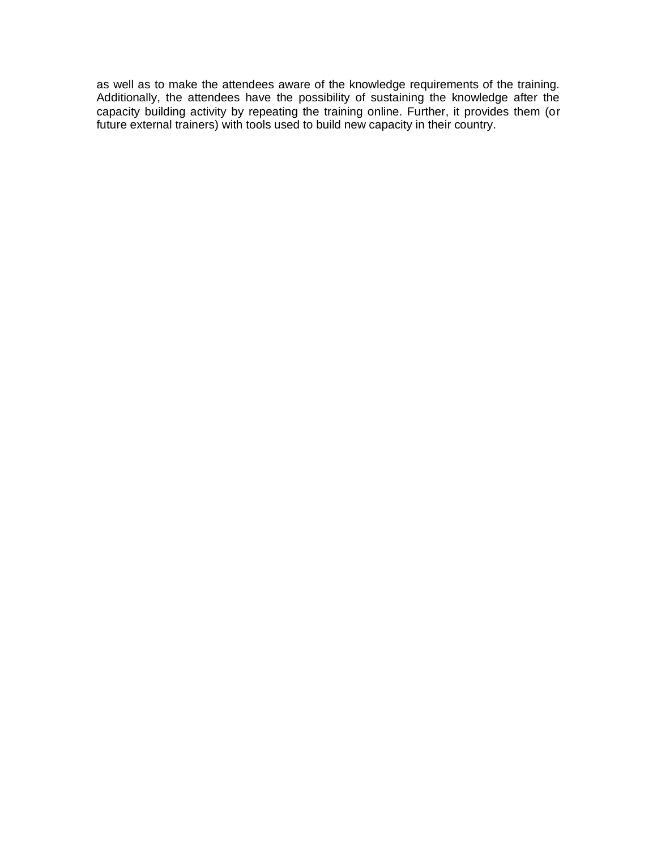as well as to make the attendees aware of the knowledge requirements of the training. Additionally, the attendees have the possibility of sustaining the knowledge after the capacity building activity by repeating the training online. Further, it provides them (or future external trainers) with tools used to build new capacity in their country.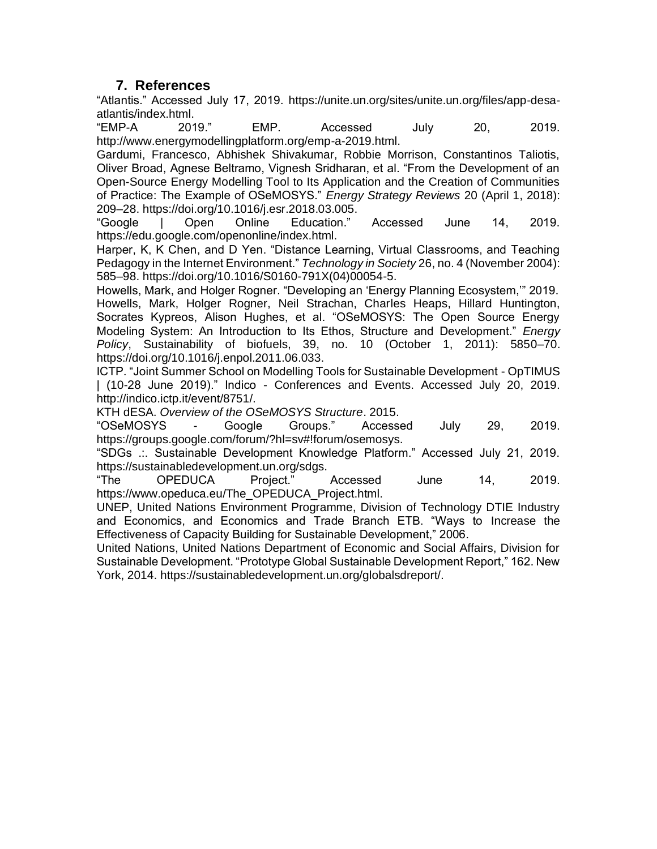# **7. References**

"Atlantis." Accessed July 17, 2019. https://unite.un.org/sites/unite.un.org/files/app-desaatlantis/index.html.

"EMP-A 2019." EMP. Accessed July 20, 2019. http://www.energymodellingplatform.org/emp-a-2019.html.

Gardumi, Francesco, Abhishek Shivakumar, Robbie Morrison, Constantinos Taliotis, Oliver Broad, Agnese Beltramo, Vignesh Sridharan, et al. "From the Development of an Open-Source Energy Modelling Tool to Its Application and the Creation of Communities of Practice: The Example of OSeMOSYS." *Energy Strategy Reviews* 20 (April 1, 2018): 209–28. https://doi.org/10.1016/j.esr.2018.03.005.

"Google | Open Online Education." Accessed June 14, 2019. https://edu.google.com/openonline/index.html.

Harper, K, K Chen, and D Yen. "Distance Learning, Virtual Classrooms, and Teaching Pedagogy in the Internet Environment." *Technology in Society* 26, no. 4 (November 2004): 585–98. https://doi.org/10.1016/S0160-791X(04)00054-5.

Howells, Mark, and Holger Rogner. "Developing an 'Energy Planning Ecosystem,'" 2019. Howells, Mark, Holger Rogner, Neil Strachan, Charles Heaps, Hillard Huntington, Socrates Kypreos, Alison Hughes, et al. "OSeMOSYS: The Open Source Energy Modeling System: An Introduction to Its Ethos, Structure and Development." *Energy Policy*, Sustainability of biofuels, 39, no. 10 (October 1, 2011): 5850–70. https://doi.org/10.1016/j.enpol.2011.06.033.

ICTP. "Joint Summer School on Modelling Tools for Sustainable Development - OpTIMUS | (10-28 June 2019)." Indico - Conferences and Events. Accessed July 20, 2019. http://indico.ictp.it/event/8751/.

KTH dESA. *Overview of the OSeMOSYS Structure*. 2015.

"OSeMOSYS - Google Groups." Accessed July 29, 2019. https://groups.google.com/forum/?hl=sv#!forum/osemosys.

"SDGs .:. Sustainable Development Knowledge Platform." Accessed July 21, 2019. https://sustainabledevelopment.un.org/sdgs.

"The OPEDUCA Project." Accessed June 14, 2019. https://www.opeduca.eu/The\_OPEDUCA\_Project.html.

UNEP, United Nations Environment Programme, Division of Technology DTIE Industry and Economics, and Economics and Trade Branch ETB. "Ways to Increase the Effectiveness of Capacity Building for Sustainable Development," 2006.

United Nations, United Nations Department of Economic and Social Affairs, Division for Sustainable Development. "Prototype Global Sustainable Development Report," 162. New York, 2014. https://sustainabledevelopment.un.org/globalsdreport/.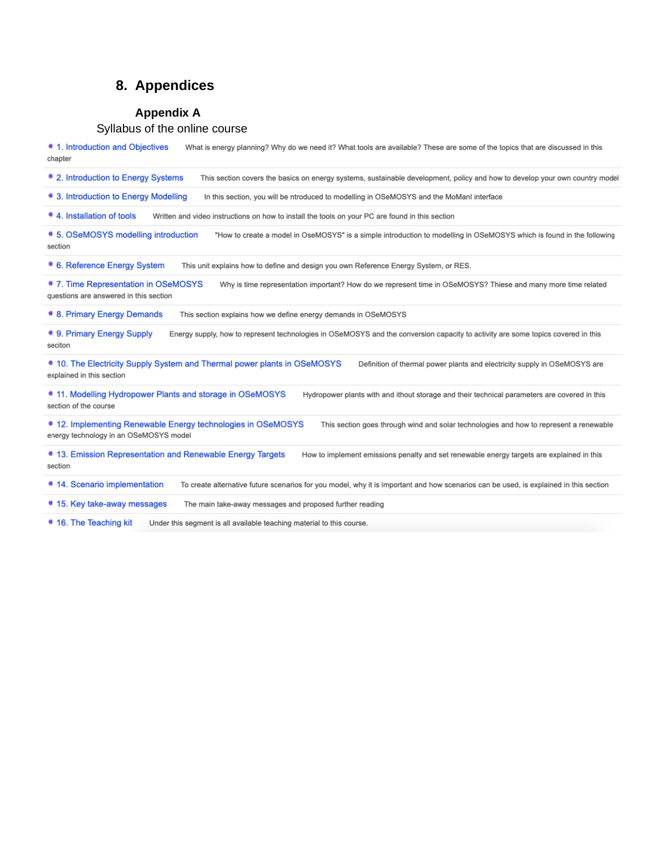# **8. Appendices**

#### **Appendix A**

#### Syllabus of the online course

• 1. Introduction and Objectives What is energy planning? Why do we need it? What tools are available? These are some of the topics that are discussed in this chapter

• 2. Introduction to Energy Systems This section covers the basics on energy systems, sustainable development, policy and how to develop your own country model

• 3. Introduction to Energy Modelling In this section, you will be ntroduced to modelling in OSeMOSYS and the MoManI interface

• 4. Installation of tools Written and video instructions on how to install the tools on your PC are found in this section

• 5. OSeMOSYS modelling introduction "How to create a model in OseMOSYS" is a simple introduction to modelling in OSeMOSYS which is found in the following section

• 6. Reference Energy System This unit explains how to define and design you own Reference Energy System, or RES.

• 7. Time Representation in OSeMOSYS Why is time representation important? How do we represent time in OSeMOSYS? Thiese and many more time related questions are answered in this section

• 8. Primary Energy Demands This section explains how we define energy demands in OSeMOSYS

• 9. Primary Energy Supply Energy supply, how to represent technologies in OSeMOSYS and the conversion capacity to activity are some topics covered in this seciton

• 10. The Electricity Supply System and Thermal power plants in OSeMOSYS Definition of thermal power plants and electricity supply in OSeMOSYS are explained in this section

• 11. Modelling Hydropower Plants and storage in OSeMOSYS Hydropower plants with and ithout storage and their technical parameters are covered in this section of the course

• 12. Implementing Renewable Energy technologies in OSeMOSYS This section goes through wind and solar technologies and how to represent a renewable energy technology in an OSeMOSYS model

• 13. Emission Representation and Renewable Energy Targets How to implement emissions penalty and set renewable energy targets are explained in this section

• 14. Scenario implementation To create alternative future scenarios for you model, why it is important and how scenarios can be used, is explained in this section

• 15. Key take-away messages The main take-away messages and proposed further reading

• 16. The Teaching kit Under this segment is all available teaching material to this course.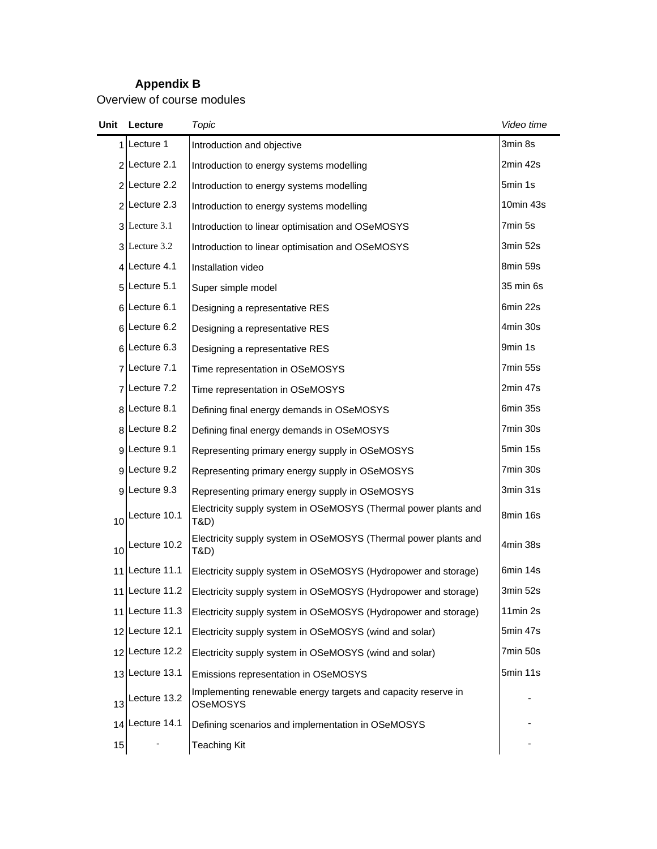# **Appendix B**

Overview of course modules

| Unit | Lecture         | Topic                                                                            | Video time |
|------|-----------------|----------------------------------------------------------------------------------|------------|
| 1 I  | Lecture 1       | Introduction and objective                                                       | 3min 8s    |
|      | 2 Lecture 2.1   | Introduction to energy systems modelling                                         | 2min 42s   |
|      | 2 Lecture 2.2   | Introduction to energy systems modelling                                         | 5min 1s    |
|      | $2$ Lecture 2.3 | Introduction to energy systems modelling                                         | 10min 43s  |
|      | 3 Lecture 3.1   | Introduction to linear optimisation and OSeMOSYS                                 | 7min 5s    |
|      | 3 Lecture 3.2   | Introduction to linear optimisation and OSeMOSYS                                 | 3min 52s   |
|      | 4 Lecture 4.1   | Installation video                                                               | 8min 59s   |
|      | 5 Lecture 5.1   | Super simple model                                                               | 35 min 6s  |
|      | 6 Lecture 6.1   | Designing a representative RES                                                   | 6min 22s   |
|      | $6$ Lecture 6.2 | Designing a representative RES                                                   | 4min 30s   |
|      | $6$ Lecture 6.3 | Designing a representative RES                                                   | 9min 1s    |
|      | 7 Lecture 7.1   | Time representation in OSeMOSYS                                                  | 7min 55s   |
|      | 7 Lecture 7.2   | Time representation in OSeMOSYS                                                  |            |
|      | 8 Lecture 8.1   | Defining final energy demands in OSeMOSYS                                        | 6min 35s   |
|      | 8 Lecture 8.2   | Defining final energy demands in OSeMOSYS                                        | 7min 30s   |
|      | 9 Lecture 9.1   | Representing primary energy supply in OSeMOSYS                                   | 5min 15s   |
|      | 9 Lecture 9.2   | Representing primary energy supply in OSeMOSYS                                   | 7min 30s   |
|      | 9 Lecture 9.3   | Representing primary energy supply in OSeMOSYS                                   | 3min 31s   |
| 10   | Lecture 10.1    | Electricity supply system in OSeMOSYS (Thermal power plants and<br>T&D)          | 8min 16s   |
| 10   | Lecture 10.2    | Electricity supply system in OSeMOSYS (Thermal power plants and<br>T&D)          | 4min 38s   |
| 11   | Lecture 11.1    | Electricity supply system in OSeMOSYS (Hydropower and storage)                   | 6min 14s   |
| 11   | Lecture 11.2    | Electricity supply system in OSeMOSYS (Hydropower and storage)                   | 3min 52s   |
|      | 11 Lecture 11.3 | Electricity supply system in OSeMOSYS (Hydropower and storage)                   | 11min 2s   |
|      | 12 Lecture 12.1 | Electricity supply system in OSeMOSYS (wind and solar)                           | 5min 47s   |
| 12   | Lecture 12.2    | Electricity supply system in OSeMOSYS (wind and solar)                           | 7min 50s   |
| 13   | Lecture 13.1    | Emissions representation in OSeMOSYS                                             | 5min 11s   |
| 13   | Lecture 13.2    | Implementing renewable energy targets and capacity reserve in<br><b>OSeMOSYS</b> |            |
| 14   | Lecture 14.1    | Defining scenarios and implementation in OSeMOSYS                                |            |
| 15   |                 | <b>Teaching Kit</b>                                                              |            |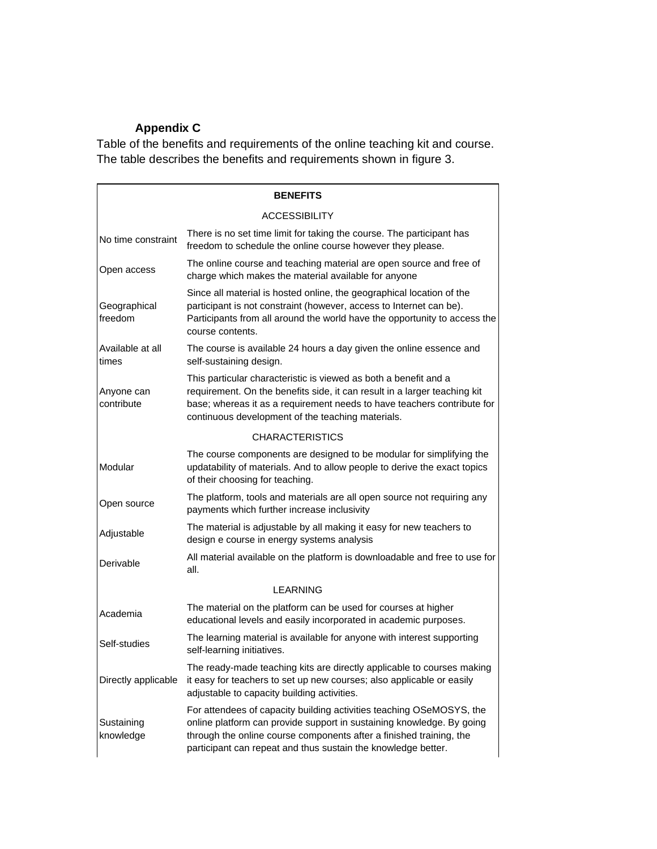# **Appendix C**

Table of the benefits and requirements of the online teaching kit and course. The table describes the benefits and requirements shown in figure 3.

|                           | <b>BENEFITS</b>                                                                                                                                                                                                                                                                       |  |  |
|---------------------------|---------------------------------------------------------------------------------------------------------------------------------------------------------------------------------------------------------------------------------------------------------------------------------------|--|--|
|                           | <b>ACCESSIBILITY</b>                                                                                                                                                                                                                                                                  |  |  |
| No time constraint        | There is no set time limit for taking the course. The participant has<br>freedom to schedule the online course however they please.                                                                                                                                                   |  |  |
| Open access               | The online course and teaching material are open source and free of<br>charge which makes the material available for anyone                                                                                                                                                           |  |  |
| Geographical<br>freedom   | Since all material is hosted online, the geographical location of the<br>participant is not constraint (however, access to Internet can be).<br>Participants from all around the world have the opportunity to access the<br>course contents.                                         |  |  |
| Available at all<br>times | The course is available 24 hours a day given the online essence and<br>self-sustaining design.                                                                                                                                                                                        |  |  |
| Anyone can<br>contribute  | This particular characteristic is viewed as both a benefit and a<br>requirement. On the benefits side, it can result in a larger teaching kit<br>base; whereas it as a requirement needs to have teachers contribute for<br>continuous development of the teaching materials.         |  |  |
|                           | <b>CHARACTERISTICS</b>                                                                                                                                                                                                                                                                |  |  |
| Modular                   | The course components are designed to be modular for simplifying the<br>updatability of materials. And to allow people to derive the exact topics<br>of their choosing for teaching.                                                                                                  |  |  |
| Open source               | The platform, tools and materials are all open source not requiring any<br>payments which further increase inclusivity                                                                                                                                                                |  |  |
| Adjustable                | The material is adjustable by all making it easy for new teachers to<br>design e course in energy systems analysis                                                                                                                                                                    |  |  |
| Derivable                 | All material available on the platform is downloadable and free to use for<br>all.                                                                                                                                                                                                    |  |  |
|                           | <b>LEARNING</b>                                                                                                                                                                                                                                                                       |  |  |
| Academia                  | The material on the platform can be used for courses at higher<br>educational levels and easily incorporated in academic purposes.                                                                                                                                                    |  |  |
| Self-studies              | The learning material is available for anyone with interest supporting<br>self-learning initiatives.                                                                                                                                                                                  |  |  |
| Directly applicable       | The ready-made teaching kits are directly applicable to courses making<br>it easy for teachers to set up new courses; also applicable or easily<br>adjustable to capacity building activities.                                                                                        |  |  |
| Sustaining<br>knowledge   | For attendees of capacity building activities teaching OSeMOSYS, the<br>online platform can provide support in sustaining knowledge. By going<br>through the online course components after a finished training, the<br>participant can repeat and thus sustain the knowledge better. |  |  |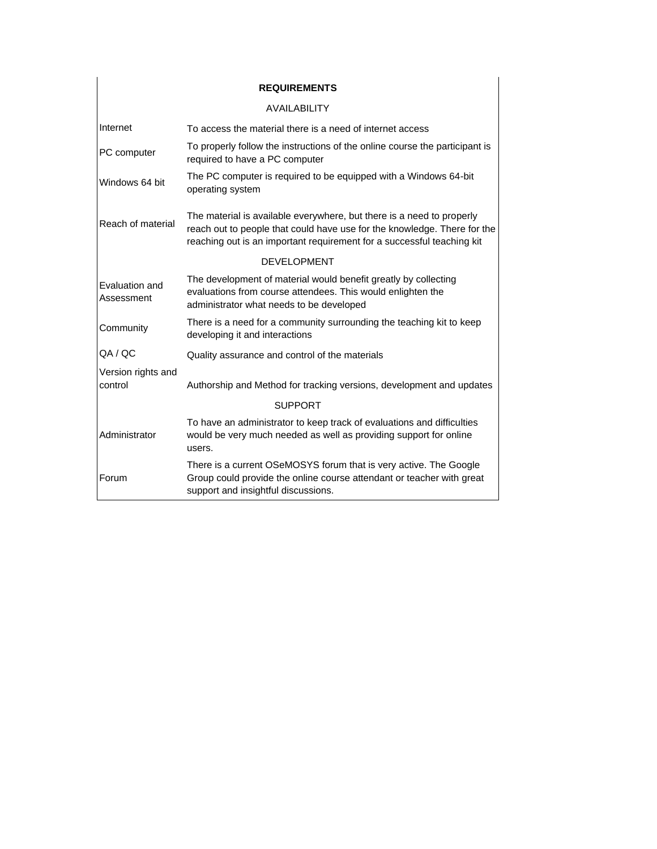| <b>REQUIREMENTS</b>           |                                                                                                                                                                                                                             |  |  |  |
|-------------------------------|-----------------------------------------------------------------------------------------------------------------------------------------------------------------------------------------------------------------------------|--|--|--|
| <b>AVAILABILITY</b>           |                                                                                                                                                                                                                             |  |  |  |
| Internet                      | To access the material there is a need of internet access                                                                                                                                                                   |  |  |  |
| PC computer                   | To properly follow the instructions of the online course the participant is<br>required to have a PC computer                                                                                                               |  |  |  |
| Windows 64 bit                | The PC computer is required to be equipped with a Windows 64-bit<br>operating system                                                                                                                                        |  |  |  |
| Reach of material             | The material is available everywhere, but there is a need to properly<br>reach out to people that could have use for the knowledge. There for the<br>reaching out is an important requirement for a successful teaching kit |  |  |  |
|                               | <b>DEVELOPMENT</b>                                                                                                                                                                                                          |  |  |  |
| Evaluation and<br>Assessment  | The development of material would benefit greatly by collecting<br>evaluations from course attendees. This would enlighten the<br>administrator what needs to be developed                                                  |  |  |  |
| Community                     | There is a need for a community surrounding the teaching kit to keep<br>developing it and interactions                                                                                                                      |  |  |  |
| QA / QC                       | Quality assurance and control of the materials                                                                                                                                                                              |  |  |  |
| Version rights and<br>control | Authorship and Method for tracking versions, development and updates                                                                                                                                                        |  |  |  |
| <b>SUPPORT</b>                |                                                                                                                                                                                                                             |  |  |  |
| Administrator                 | To have an administrator to keep track of evaluations and difficulties<br>would be very much needed as well as providing support for online<br>users.                                                                       |  |  |  |
| Forum                         | There is a current OSeMOSYS forum that is very active. The Google<br>Group could provide the online course attendant or teacher with great<br>support and insightful discussions.                                           |  |  |  |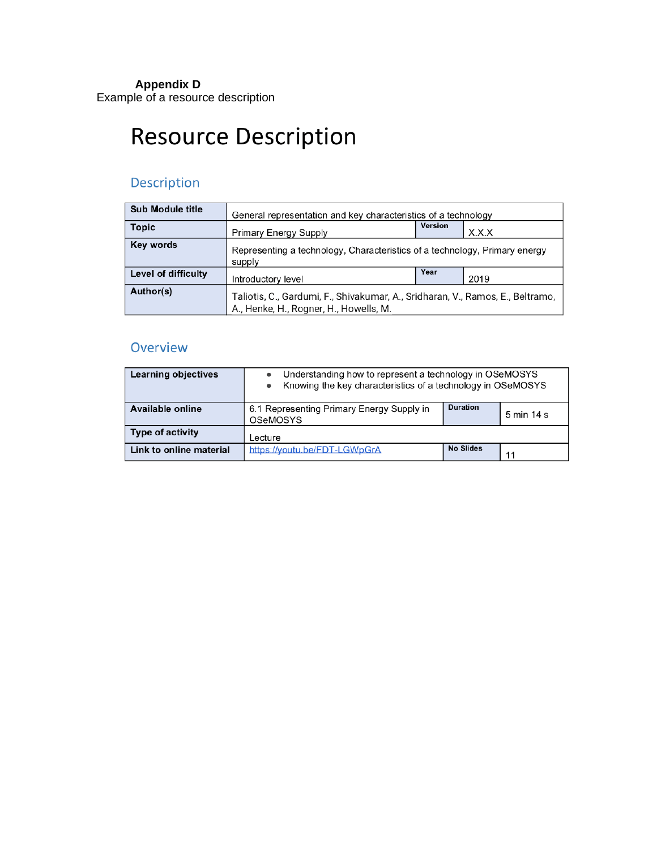### **Appendix D**

Example of a resource description

# **Resource Description**

# Description

| <b>Sub Module title</b> | General representation and key characteristics of a technology                                                           |      |      |
|-------------------------|--------------------------------------------------------------------------------------------------------------------------|------|------|
| <b>Topic</b>            | Version<br>X.X.X<br><b>Primary Energy Supply</b>                                                                         |      |      |
| Key words               | Representing a technology, Characteristics of a technology, Primary energy<br>supply                                     |      |      |
| Level of difficulty     | Introductory level                                                                                                       | Year | 2019 |
| Author(s)               | Taliotis, C., Gardumi, F., Shivakumar, A., Sridharan, V., Ramos, E., Beltramo,<br>A., Henke, H., Rogner, H., Howells, M. |      |      |

# Overview

| <b>Learning objectives</b> | Understanding how to represent a technology in OSeMOSYS<br>Knowing the key characteristics of a technology in OSeMOSYS |                  |            |
|----------------------------|------------------------------------------------------------------------------------------------------------------------|------------------|------------|
| <b>Available online</b>    | 6.1 Representing Primary Energy Supply in<br><b>OSeMOSYS</b>                                                           | <b>Duration</b>  | 5 min 14 s |
| <b>Type of activity</b>    | Lecture                                                                                                                |                  |            |
| Link to online material    | https://voutu.be/FDT-LGWpGrA                                                                                           | <b>No Slides</b> | 11         |